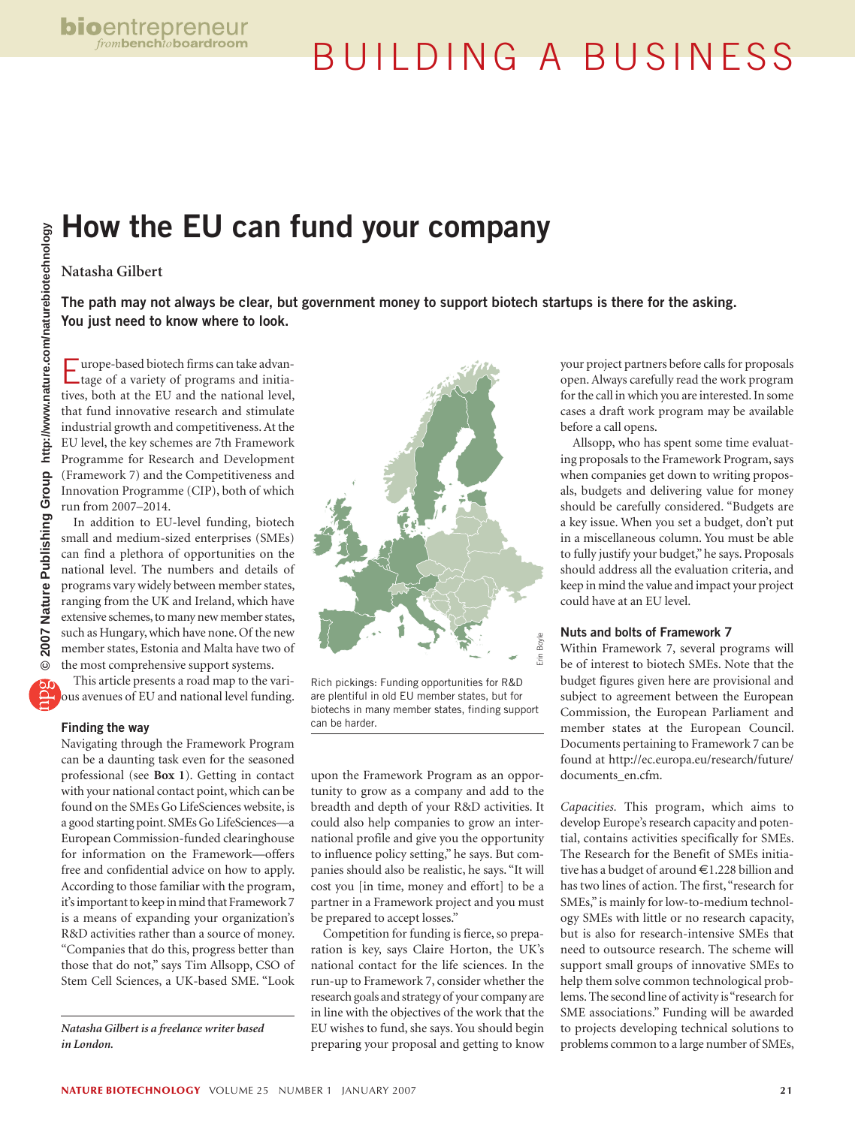# BUILDING A BUSINESS

## **How the EU can fund your company**

## **Natasha Gilbert**

**The path may not always be clear, but government money to support biotech startups is there for the asking. You just need to know where to look.**

Europe-based biotech firms can take advan-tage of a variety of programs and initiatives, both at the EU and the national level, that fund innovative research and stimulate industrial growth and competitiveness. At the EU level, the key schemes are 7th Framework Programme for Research and Development (Framework 7) and the Competitiveness and Innovation Programme (CIP), both of which run from 2007–2014.

In addition to EU-level funding, biotech small and medium-sized enterprises (SMEs) can find a plethora of opportunities on the national level. The numbers and details of programs vary widely between member states, ranging from the UK and Ireland, which have extensive schemes, to many new member states, such as Hungary, which have none. Of the new member states, Estonia and Malta have two of the most comprehensive support systems.

This article presents a road map to the various avenues of EU and national level funding.

## **Finding the way**

Navigating through the Framework Program can be a daunting task even for the seasoned professional (see **Box 1**). Getting in contact with your national contact point, which can be found on the SMEs Go LifeSciences website, is a good starting point. SMEs Go LifeSciences—a European Commission-funded clearinghouse for information on the Framework—offers free and confidential advice on how to apply. According to those familiar with the program, it's important to keep in mind that Framework 7 is a means of expanding your organization's R&D activities rather than a source of money. "Companies that do this, progress better than those that do not," says Tim Allsopp, CSO of Stem Cell Sciences, a UK-based SME. "Look

*Natasha Gilbert is a freelance writer based in London.*



Rich pickings: Funding opportunities for R&D are plentiful in old EU member states, but for biotechs in many member states, finding support can be harder.

upon the Framework Program as an opportunity to grow as a company and add to the breadth and depth of your R&D activities. It could also help companies to grow an international profile and give you the opportunity to influence policy setting," he says. But companies should also be realistic, he says. "It will cost you [in time, money and effort] to be a partner in a Framework project and you must be prepared to accept losses."

Competition for funding is fierce, so preparation is key, says Claire Horton, the UK's national contact for the life sciences. In the run-up to Framework 7, consider whether the research goals and strategy of your company are in line with the objectives of the work that the EU wishes to fund, she says. You should begin preparing your proposal and getting to know

your project partners before calls for proposals open. Always carefully read the work program for the call in which you are interested. In some cases a draft work program may be available before a call opens.

Allsopp, who has spent some time evaluating proposals to the Framework Program, says when companies get down to writing proposals, budgets and delivering value for money should be carefully considered. "Budgets are a key issue. When you set a budget, don't put in a miscellaneous column. You must be able to fully justify your budget," he says. Proposals should address all the evaluation criteria, and keep in mind the value and impact your project could have at an EU level.

## **Nuts and bolts of Framework 7**

Within Framework 7, several programs will be of interest to biotech SMEs. Note that the budget figures given here are provisional and subject to agreement between the European Commission, the European Parliament and member states at the European Council. Documents pertaining to Framework 7 can be found at http://ec.europa.eu/research/future/ documents\_en.cfm.

*Capacities.* This program, which aims to develop Europe's research capacity and potential, contains activities specifically for SMEs. The Research for the Benefit of SMEs initiative has a budget of around €1.228 billion and has two lines of action. The first, "research for SMEs," is mainly for low-to-medium technology SMEs with little or no research capacity, but is also for research-intensive SMEs that need to outsource research. The scheme will support small groups of innovative SMEs to help them solve common technological problems. The second line of activity is "research for SME associations." Funding will be awarded to projects developing technical solutions to problems common to a large number of SMEs,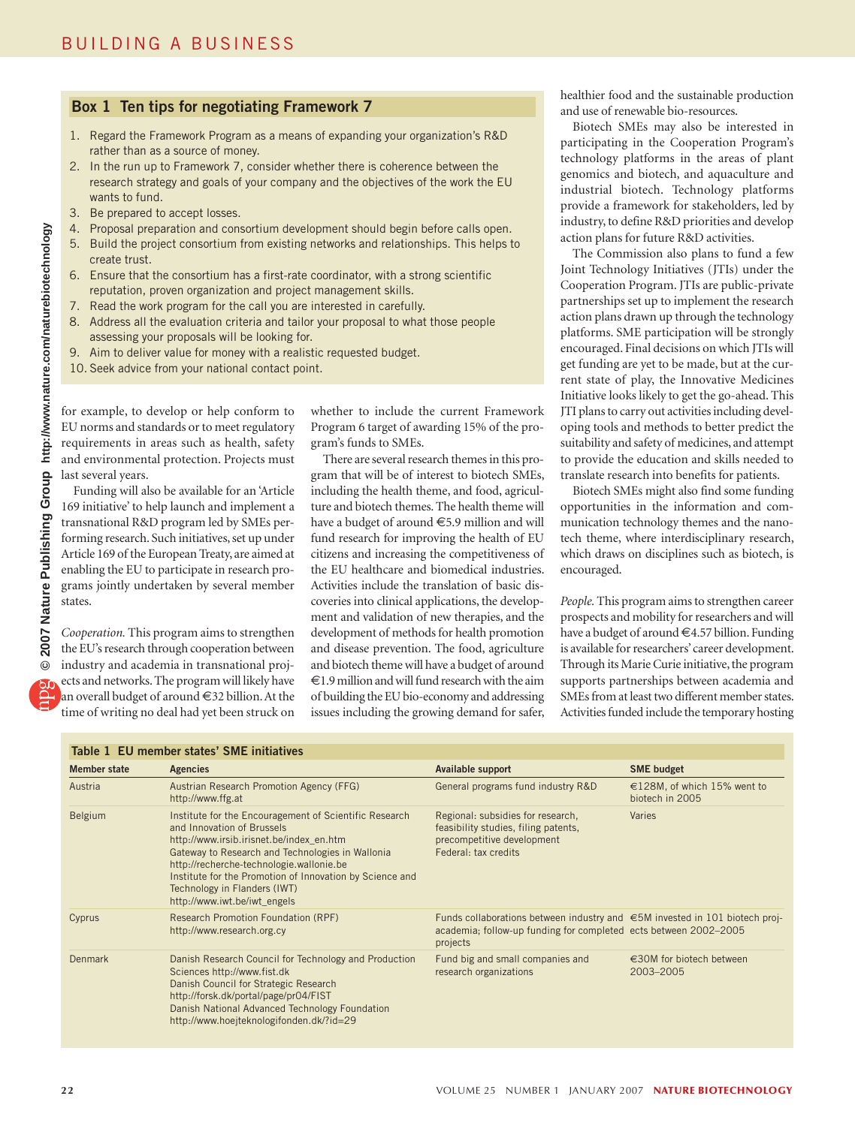## **Box 1 Ten tips for negotiating Framework 7**

- 1. Regard the Framework Program as a means of expanding your organization's R&D rather than as a source of money.
- 2. In the run up to Framework 7, consider whether there is coherence between the research strategy and goals of your company and the objectives of the work the EU wants to fund.
- 3. Be prepared to accept losses.
- 4. Proposal preparation and consortium development should begin before calls open.
- 5. Build the project consortium from existing networks and relationships. This helps to create trust.
- 6. Ensure that the consortium has a first-rate coordinator, with a strong scientific reputation, proven organization and project management skills.
- 7. Read the work program for the call you are interested in carefully.
- 8. Address all the evaluation criteria and tailor your proposal to what those people assessing your proposals will be looking for.
- 9. Aim to deliver value for money with a realistic requested budget.
- 10. Seek advice from your national contact point.

for example, to develop or help conform to EU norms and standards or to meet regulatory requirements in areas such as health, safety and environmental protection. Projects must last several years.

Funding will also be available for an 'Article 169 initiative' to help launch and implement a transnational R&D program led by SMEs performing research. Such initiatives, set up under Article 169 of the European Treaty, are aimed at enabling the EU to participate in research programs jointly undertaken by several member states.

*Cooperation.* This program aims to strengthen the EU's research through cooperation between industry and academia in transnational projects and networks. The program will likely have an overall budget of around €32 billion. At the time of writing no deal had yet been struck on

whether to include the current Framework Program 6 target of awarding 15% of the program's funds to SMEs.

There are several research themes in this program that will be of interest to biotech SMEs, including the health theme, and food, agriculture and biotech themes. The health theme will have a budget of around €5.9 million and will fund research for improving the health of EU citizens and increasing the competitiveness of the EU healthcare and biomedical industries. Activities include the translation of basic discoveries into clinical applications, the development and validation of new therapies, and the development of methods for health promotion and disease prevention. The food, agriculture and biotech theme will have a budget of around €1.9 million and will fund research with the aim of building the EU bio-economy and addressing issues including the growing demand for safer,

healthier food and the sustainable production and use of renewable bio-resources.

Biotech SMEs may also be interested in participating in the Cooperation Program's technology platforms in the areas of plant genomics and biotech, and aquaculture and industrial biotech. Technology platforms provide a framework for stakeholders, led by industry, to define R&D priorities and develop action plans for future R&D activities.

The Commission also plans to fund a few Joint Technology Initiatives (JTIs) under the Cooperation Program. JTIs are public-private partnerships set up to implement the research action plans drawn up through the technology platforms. SME participation will be strongly encouraged. Final decisions on which JTIs will get funding are yet to be made, but at the current state of play, the Innovative Medicines Initiative looks likely to get the go-ahead. This JTI plans to carry out activities including developing tools and methods to better predict the suitability and safety of medicines, and attempt to provide the education and skills needed to translate research into benefits for patients.

Biotech SMEs might also find some funding opportunities in the information and communication technology themes and the nanotech theme, where interdisciplinary research, which draws on disciplines such as biotech, is encouraged.

*People.* This program aims to strengthen career prospects and mobility for researchers and will have a budget of around €4.57 billion. Funding is available for researchers' career development. Through its Marie Curie initiative, the program supports partnerships between academia and SMEs from at least two different member states. Activities funded include the temporary hosting

| Table 1 EU member states' SME initiatives |                                                                                                                                                                                                                                                                                                                                                              |                                                                                                                                                                       |                                                 |  |
|-------------------------------------------|--------------------------------------------------------------------------------------------------------------------------------------------------------------------------------------------------------------------------------------------------------------------------------------------------------------------------------------------------------------|-----------------------------------------------------------------------------------------------------------------------------------------------------------------------|-------------------------------------------------|--|
| Member state                              | <b>Agencies</b>                                                                                                                                                                                                                                                                                                                                              | Available support                                                                                                                                                     | <b>SME</b> budget                               |  |
| Austria                                   | Austrian Research Promotion Agency (FFG)<br>http://www.ffg.at                                                                                                                                                                                                                                                                                                | General programs fund industry R&D                                                                                                                                    | €128M, of which 15% went to<br>biotech in 2005  |  |
| Belgium                                   | Institute for the Encouragement of Scientific Research<br>and Innovation of Brussels<br>http://www.irsib.irisnet.be/index_en.htm<br>Gateway to Research and Technologies in Wallonia<br>http://recherche-technologie.wallonie.be<br>Institute for the Promotion of Innovation by Science and<br>Technology in Flanders (IWT)<br>http://www.iwt.be/iwt_engels | Regional: subsidies for research,<br>feasibility studies, filing patents,<br>precompetitive development<br>Federal: tax credits                                       | Varies                                          |  |
| Cyprus                                    | Research Promotion Foundation (RPF)<br>http://www.research.org.cy                                                                                                                                                                                                                                                                                            | Funds collaborations between industry and $\epsilon$ 5M invested in 101 biotech proj-<br>academia; follow-up funding for completed ects between 2002–2005<br>projects |                                                 |  |
| Denmark                                   | Danish Research Council for Technology and Production<br>Sciences http://www.fist.dk<br>Danish Council for Strategic Research<br>http://forsk.dk/portal/page/pr04/FIST<br>Danish National Advanced Technology Foundation<br>http://www.hoejteknologifonden.dk/?id=29                                                                                         | Fund big and small companies and<br>research organizations                                                                                                            | $\epsilon$ 30M for biotech between<br>2003-2005 |  |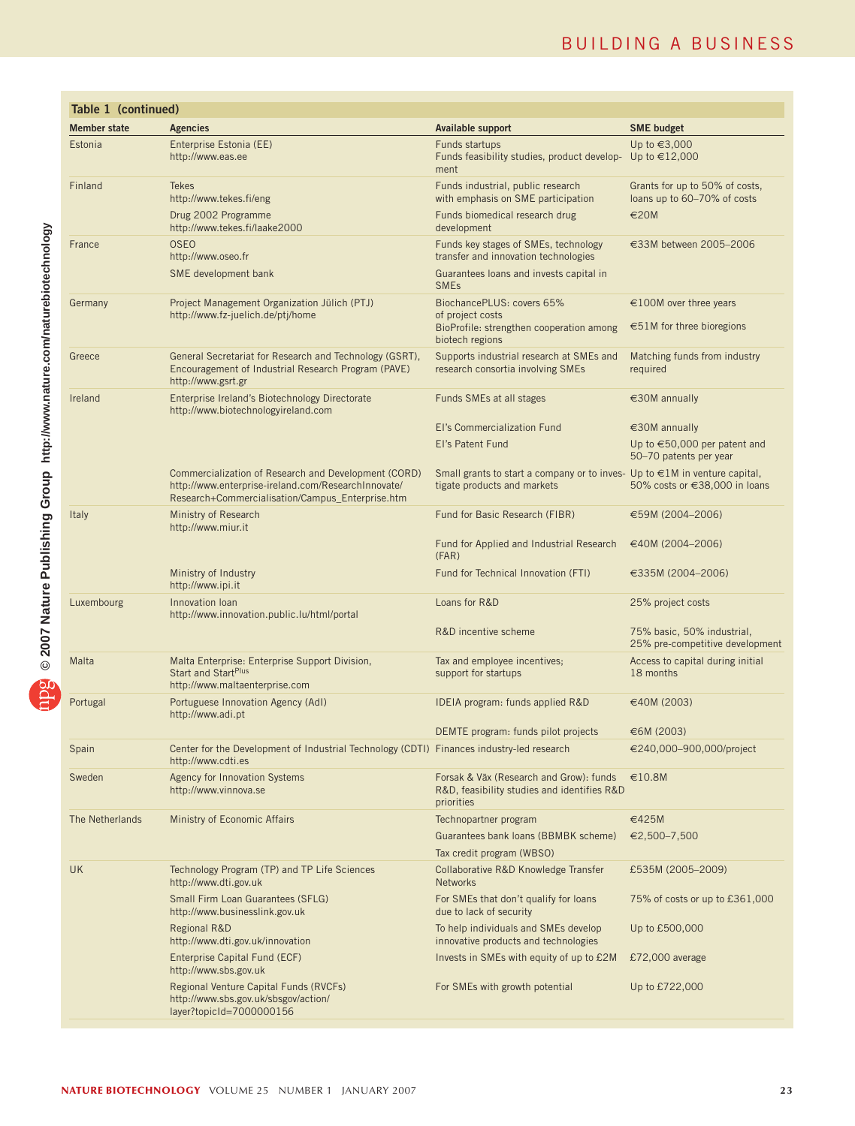## BUILDING A BUSINESS

| Table 1 (continued) |                                                                                                                                                                 |                                                                                                              |                                                                         |
|---------------------|-----------------------------------------------------------------------------------------------------------------------------------------------------------------|--------------------------------------------------------------------------------------------------------------|-------------------------------------------------------------------------|
| <b>Member state</b> | <b>Agencies</b>                                                                                                                                                 | Available support                                                                                            | <b>SME budget</b>                                                       |
| Estonia             | Enterprise Estonia (EE)<br>http://www.eas.ee                                                                                                                    | Funds startups<br>Funds feasibility studies, product develop- Up to $\in$ 12,000<br>ment                     | Up to €3,000                                                            |
| Finland             | <b>Tekes</b><br>http://www.tekes.fi/eng                                                                                                                         | Funds industrial, public research<br>with emphasis on SME participation                                      | Grants for up to 50% of costs,<br>loans up to 60-70% of costs           |
|                     | Drug 2002 Programme<br>http://www.tekes.fi/laake2000                                                                                                            | Funds biomedical research drug<br>development                                                                | €20M                                                                    |
| France              | <b>OSEO</b><br>http://www.oseo.fr                                                                                                                               | Funds key stages of SMEs, technology<br>transfer and innovation technologies                                 | €33M between 2005-2006                                                  |
|                     | SME development bank                                                                                                                                            | Guarantees loans and invests capital in<br><b>SME<sub>s</sub></b>                                            |                                                                         |
| Germany             | Project Management Organization Jülich (PTJ)<br>http://www.fz-juelich.de/ptj/home                                                                               | BiochancePLUS: covers 65%<br>of project costs<br>BioProfile: strengthen cooperation among<br>biotech regions | $\epsilon$ 100M over three years<br>$\epsilon$ 51M for three bioregions |
| Greece              | General Secretariat for Research and Technology (GSRT),<br>Encouragement of Industrial Research Program (PAVE)<br>http://www.gsrt.gr                            | Supports industrial research at SMEs and<br>research consortia involving SMEs                                | Matching funds from industry<br>required                                |
| Ireland             | Enterprise Ireland's Biotechnology Directorate<br>http://www.biotechnologyireland.com                                                                           | Funds SMEs at all stages                                                                                     | €30M annually                                                           |
|                     |                                                                                                                                                                 | El's Commercialization Fund                                                                                  | €30M annually                                                           |
|                     |                                                                                                                                                                 | El's Patent Fund                                                                                             | Up to $\epsilon$ 50,000 per patent and<br>50-70 patents per year        |
|                     | Commercialization of Research and Development (CORD)<br>http://www.enterprise-ireland.com/ResearchInnovate/<br>Research+Commercialisation/Campus_Enterprise.htm | Small grants to start a company or to inves- Up to €1M in venture capital,<br>tigate products and markets    | 50% costs or €38,000 in loans                                           |
| <b>Italy</b>        | Ministry of Research<br>http://www.miur.it                                                                                                                      | Fund for Basic Research (FIBR)                                                                               | €59M (2004-2006)                                                        |
|                     |                                                                                                                                                                 | Fund for Applied and Industrial Research<br>(FAR)                                                            | €40M (2004-2006)                                                        |
|                     | Ministry of Industry<br>http://www.ipi.it                                                                                                                       | Fund for Technical Innovation (FTI)                                                                          | $€335M(2004-2006)$                                                      |
| Luxembourg          | Innovation Ioan<br>http://www.innovation.public.lu/html/portal                                                                                                  | Loans for R&D                                                                                                | 25% project costs                                                       |
|                     |                                                                                                                                                                 | R&D incentive scheme                                                                                         | 75% basic, 50% industrial,<br>25% pre-competitive development           |
| Malta               | Malta Enterprise: Enterprise Support Division,<br>Start and Start <sup>Plus</sup><br>http://www.maltaenterprise.com                                             | Tax and employee incentives;<br>support for startups                                                         | Access to capital during initial<br>18 months                           |
| Portugal            | Portuguese Innovation Agency (AdI)<br>http://www.adi.pt                                                                                                         | IDEIA program: funds applied R&D                                                                             | €40M (2003)                                                             |
|                     |                                                                                                                                                                 | DEMTE program: funds pilot projects                                                                          | €6M(2003)                                                               |
| Spain               | Center for the Development of Industrial Technology (CDTI) Finances industry-led research<br>http://www.cdti.es                                                 |                                                                                                              | €240,000-900,000/project                                                |
| Sweden              | <b>Agency for Innovation Systems</b><br>http://www.vinnova.se                                                                                                   | Forsak & Väx (Research and Grow): funds €10.8M<br>R&D, feasibility studies and identifies R&D<br>priorities  |                                                                         |
| The Netherlands     | Ministry of Economic Affairs                                                                                                                                    | Technopartner program                                                                                        | €425M                                                                   |
|                     |                                                                                                                                                                 | Guarantees bank loans (BBMBK scheme)                                                                         | €2,500-7,500                                                            |
|                     |                                                                                                                                                                 | Tax credit program (WBSO)                                                                                    |                                                                         |
| <b>UK</b>           | Technology Program (TP) and TP Life Sciences<br>http://www.dti.gov.uk                                                                                           | Collaborative R&D Knowledge Transfer<br><b>Networks</b>                                                      | £535M (2005-2009)                                                       |
|                     | Small Firm Loan Guarantees (SFLG)<br>http://www.businesslink.gov.uk                                                                                             | For SMEs that don't qualify for loans<br>due to lack of security                                             | 75% of costs or up to £361,000                                          |
|                     | Regional R&D<br>http://www.dti.gov.uk/innovation                                                                                                                | To help individuals and SMEs develop<br>innovative products and technologies                                 | Up to £500,000                                                          |
|                     | Enterprise Capital Fund (ECF)<br>http://www.sbs.gov.uk                                                                                                          | Invests in SMEs with equity of up to £2M                                                                     | £72,000 average                                                         |
|                     | Regional Venture Capital Funds (RVCFs)<br>http://www.sbs.gov.uk/sbsgov/action/<br>layer?topicId=7000000156                                                      | For SMEs with growth potential                                                                               | Up to £722,000                                                          |